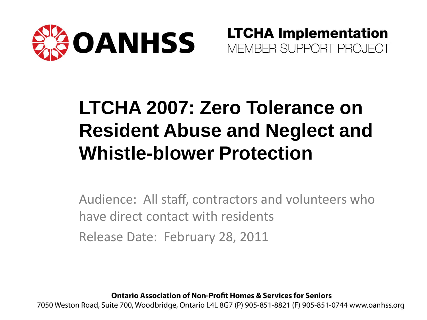

**LTCHA Implementation** MEMBER SUPPORT PROJECT

#### **LTCHA 2007: Zero Tolerance on Resident Abuse and Neglect and Whistle-blower Protection**

Audience: All staff, contractors and volunteers who have direct contact with residents Release Date: February 28, 2011

**Ontario Association of Non-Profit Homes & Services for Seniors** 

7050 Weston Road, Suite 700, Woodbridge, Ontario L4L 8G7 (P) 905-851-8821 (F) 905-851-0744 www.oanhss.org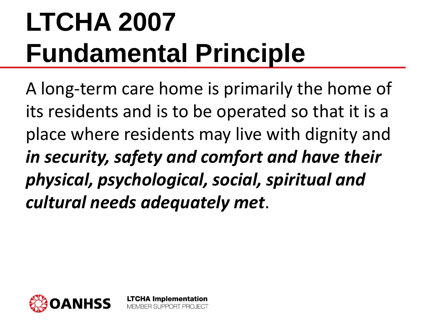# **LTCHA 2007 Fundamental Principle**

**LTCHA Implementation** BER SUPPORT PROJECT

A long-term care home is primarily the home of its residents and is to be operated so that it is a place where residents may live with dignity and *in security, safety and comfort and have their physical, psychological, social, spiritual and cultural needs adequately met*.

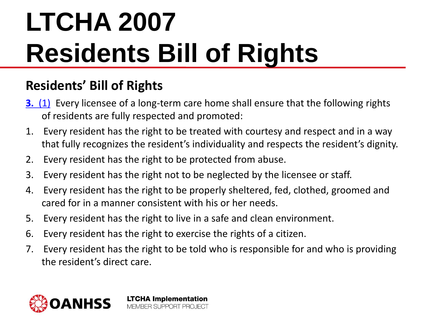#### **Residents' Bill of Rights**

- **[3.](http://www.e-laws.gov.on.ca/html/statutes/french/elaws_statutes_07l08_f.htm)** [\(1\)](http://www.e-laws.gov.on.ca/html/statutes/french/elaws_statutes_07l08_f.htm) Every licensee of a long-term care home shall ensure that the following rights of residents are fully respected and promoted:
- 1. Every resident has the right to be treated with courtesy and respect and in a way that fully recognizes the resident's individuality and respects the resident's dignity.
- 2. Every resident has the right to be protected from abuse.
- 3. Every resident has the right not to be neglected by the licensee or staff.
- 4. Every resident has the right to be properly sheltered, fed, clothed, groomed and cared for in a manner consistent with his or her needs.
- 5. Every resident has the right to live in a safe and clean environment.
- 6. Every resident has the right to exercise the rights of a citizen.
- 7. Every resident has the right to be told who is responsible for and who is providing the resident's direct care.

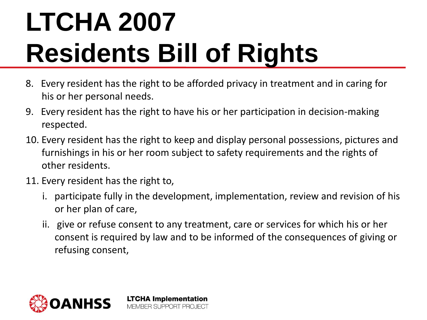- 8. Every resident has the right to be afforded privacy in treatment and in caring for his or her personal needs.
- 9. Every resident has the right to have his or her participation in decision-making respected.
- 10. Every resident has the right to keep and display personal possessions, pictures and furnishings in his or her room subject to safety requirements and the rights of other residents.
- 11. Every resident has the right to,
	- i. participate fully in the development, implementation, review and revision of his or her plan of care,
	- ii. give or refuse consent to any treatment, care or services for which his or her consent is required by law and to be informed of the consequences of giving or refusing consent,

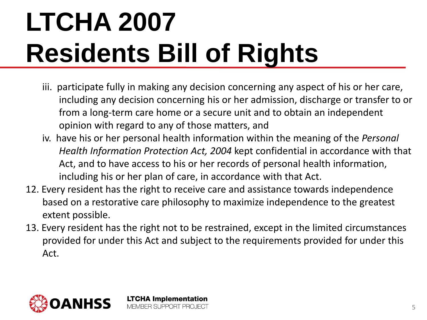- iii. participate fully in making any decision concerning any aspect of his or her care, including any decision concerning his or her admission, discharge or transfer to or from a long-term care home or a secure unit and to obtain an independent opinion with regard to any of those matters, and
- iv. have his or her personal health information within the meaning of the *Personal Health Information Protection Act, 2004* kept confidential in accordance with that Act, and to have access to his or her records of personal health information, including his or her plan of care, in accordance with that Act.
- 12. Every resident has the right to receive care and assistance towards independence based on a restorative care philosophy to maximize independence to the greatest extent possible.
- 13. Every resident has the right not to be restrained, except in the limited circumstances provided for under this Act and subject to the requirements provided for under this Act.

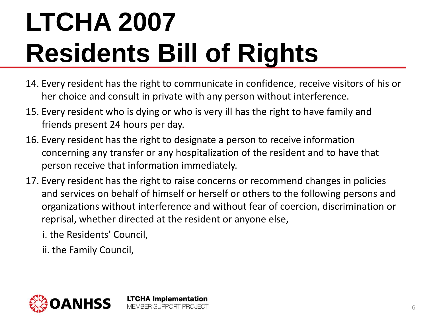- 14. Every resident has the right to communicate in confidence, receive visitors of his or her choice and consult in private with any person without interference.
- 15. Every resident who is dying or who is very ill has the right to have family and friends present 24 hours per day.
- 16. Every resident has the right to designate a person to receive information concerning any transfer or any hospitalization of the resident and to have that person receive that information immediately.
- 17. Every resident has the right to raise concerns or recommend changes in policies and services on behalf of himself or herself or others to the following persons and organizations without interference and without fear of coercion, discrimination or reprisal, whether directed at the resident or anyone else,

i. the Residents' Council,

ii. the Family Council,

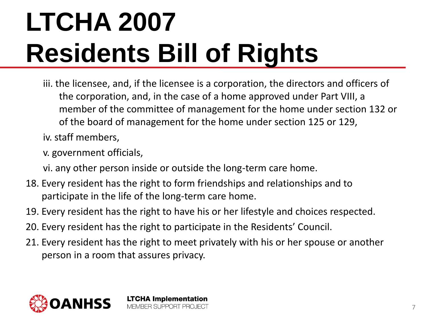iii. the licensee, and, if the licensee is a corporation, the directors and officers of the corporation, and, in the case of a home approved under Part VIII, a member of the committee of management for the home under section 132 or of the board of management for the home under section 125 or 129,

iv. staff members,

v. government officials,

vi. any other person inside or outside the long-term care home.

- 18. Every resident has the right to form friendships and relationships and to participate in the life of the long-term care home.
- 19. Every resident has the right to have his or her lifestyle and choices respected.
- 20. Every resident has the right to participate in the Residents' Council.

**LTCHA Implementation MEMBER SUPPORT PROJECT** 

21. Every resident has the right to meet privately with his or her spouse or another person in a room that assures privacy.

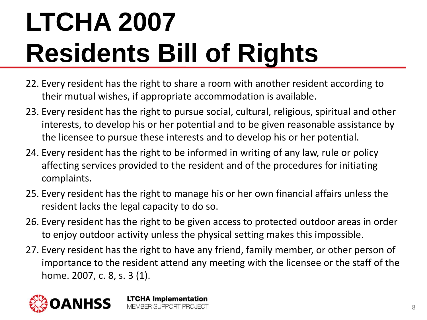- 22. Every resident has the right to share a room with another resident according to their mutual wishes, if appropriate accommodation is available.
- 23. Every resident has the right to pursue social, cultural, religious, spiritual and other interests, to develop his or her potential and to be given reasonable assistance by the licensee to pursue these interests and to develop his or her potential.
- 24. Every resident has the right to be informed in writing of any law, rule or policy affecting services provided to the resident and of the procedures for initiating complaints.
- 25. Every resident has the right to manage his or her own financial affairs unless the resident lacks the legal capacity to do so.
- 26. Every resident has the right to be given access to protected outdoor areas in order to enjoy outdoor activity unless the physical setting makes this impossible.
- 27. Every resident has the right to have any friend, family member, or other person of importance to the resident attend any meeting with the licensee or the staff of the home. 2007, c. 8, s. 3 (1).

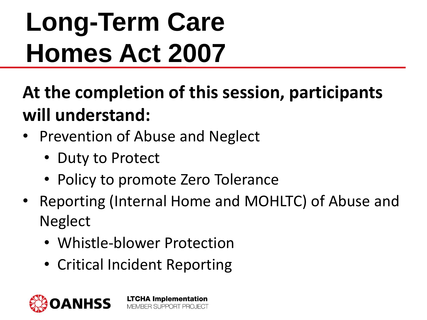# **Long-Term Care Homes Act 2007**

**At the completion of this session, participants will understand:**

- Prevention of Abuse and Neglect
	- Duty to Protect
	- Policy to promote Zero Tolerance
- Reporting (Internal Home and MOHLTC) of Abuse and **Neglect** 
	- Whistle-blower Protection
	- Critical Incident Reporting

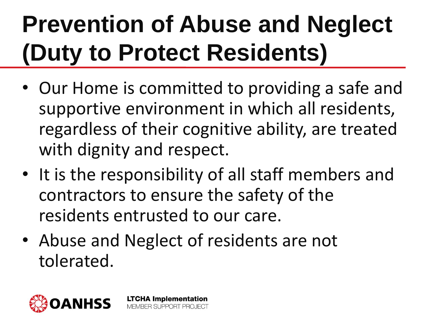### **Prevention of Abuse and Neglect (Duty to Protect Residents)**

- Our Home is committed to providing a safe and supportive environment in which all residents, regardless of their cognitive ability, are treated with dignity and respect.
- It is the responsibility of all staff members and contractors to ensure the safety of the residents entrusted to our care.
- Abuse and Neglect of residents are not tolerated.

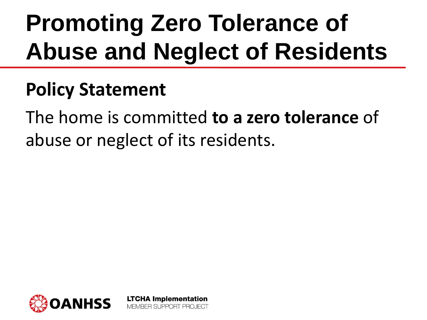### **Promoting Zero Tolerance of Abuse and Neglect of Residents**

#### **Policy Statement**

The home is committed **to a zero tolerance** of abuse or neglect of its residents.

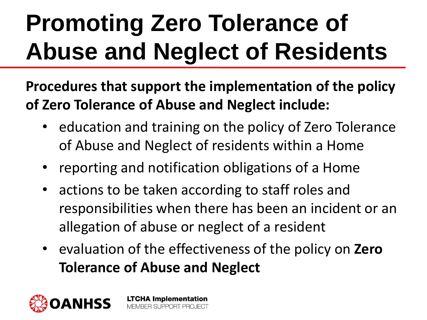### **Promoting Zero Tolerance of Abuse and Neglect of Residents**

**Procedures that support the implementation of the policy of Zero Tolerance of Abuse and Neglect include:**

- education and training on the policy of Zero Tolerance of Abuse and Neglect of residents within a Home
- reporting and notification obligations of a Home
- actions to be taken according to staff roles and responsibilities when there has been an incident or an allegation of abuse or neglect of a resident
- evaluation of the effectiveness of the policy on **Zero Tolerance of Abuse and Neglect**

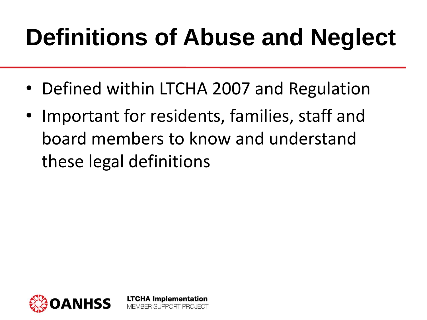#### **Definitions of Abuse and Neglect**

- Defined within LTCHA 2007 and Regulation
- Important for residents, families, staff and board members to know and understand these legal definitions

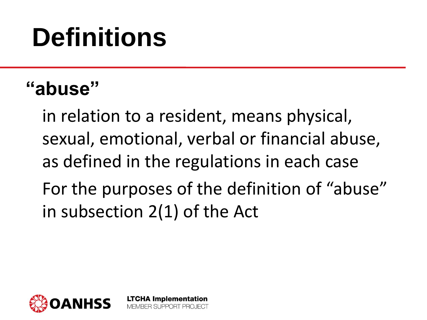#### **"abuse"**

in relation to a resident, means physical, sexual, emotional, verbal or financial abuse, as defined in the regulations in each case For the purposes of the definition of "abuse" in subsection 2(1) of the Act

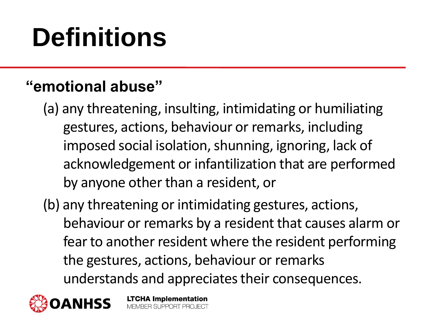#### **"emotional abuse"**

- (a) any threatening, insulting, intimidating or humiliating gestures, actions, behaviour or remarks, including imposed social isolation, shunning, ignoring, lack of acknowledgement or infantilization that are performed by anyone other than a resident, or
- (b) any threatening or intimidating gestures, actions, behaviour or remarks by a resident that causes alarm or fear to another resident where the resident performing the gestures, actions, behaviour or remarks understands and appreciates their consequences.

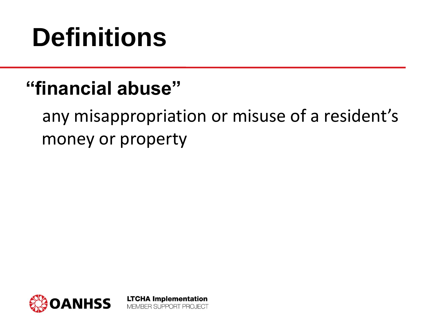#### **"financial abuse"**

any misappropriation or misuse of a resident's money or property

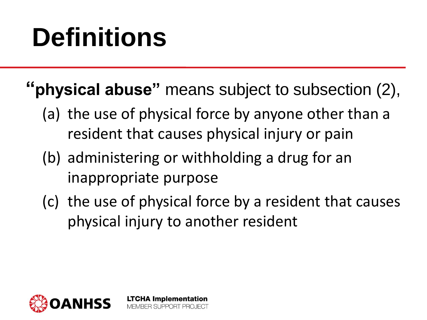- **"physical abuse"** means subject to subsection (2),
	- (a) the use of physical force by anyone other than a resident that causes physical injury or pain
	- (b) administering or withholding a drug for an inappropriate purpose

**LTCHA Implementation** MEMBER SLIPPORT PROJECT

(c) the use of physical force by a resident that causes physical injury to another resident

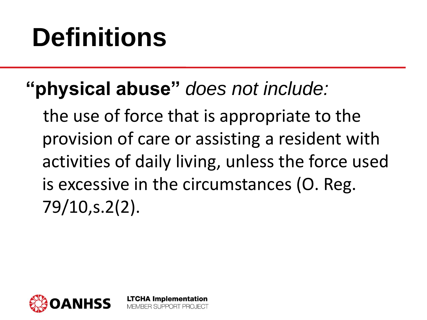#### **"physical abuse"** *does not include:*

**LTCHA Implementation** MEMBER SUPPORT PROJECT

the use of force that is appropriate to the provision of care or assisting a resident with activities of daily living, unless the force used is excessive in the circumstances (O. Reg. 79/10,s.2(2).

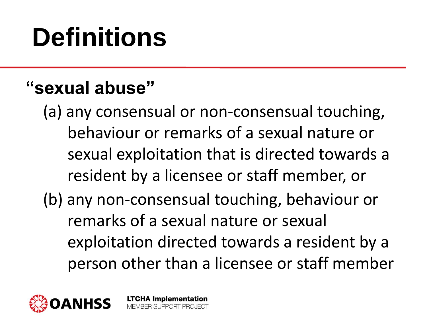#### **"sexual abuse"**

(a) any consensual or non-consensual touching, behaviour or remarks of a sexual nature or sexual exploitation that is directed towards a resident by a licensee or staff member, or (b) any non-consensual touching, behaviour or remarks of a sexual nature or sexual exploitation directed towards a resident by a person other than a licensee or staff member

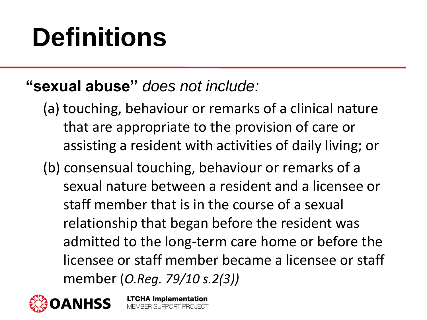#### **"sexual abuse"** *does not include:*

- (a) touching, behaviour or remarks of a clinical nature that are appropriate to the provision of care or assisting a resident with activities of daily living; or
- (b) consensual touching, behaviour or remarks of a sexual nature between a resident and a licensee or staff member that is in the course of a sexual relationship that began before the resident was admitted to the long-term care home or before the licensee or staff member became a licensee or staff member (*O.Reg. 79/10 s.2(3))*

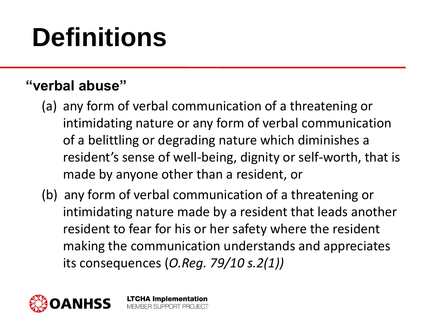#### **"verbal abuse"**

- (a) any form of verbal communication of a threatening or intimidating nature or any form of verbal communication of a belittling or degrading nature which diminishes a resident's sense of well-being, dignity or self-worth, that is made by anyone other than a resident, or
- (b) any form of verbal communication of a threatening or intimidating nature made by a resident that leads another resident to fear for his or her safety where the resident making the communication understands and appreciates its consequences (*O.Reg. 79/10 s.2(1))*

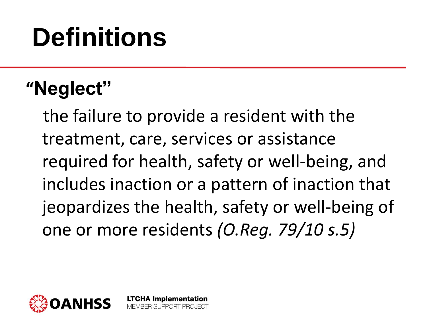#### **"Neglect"**

the failure to provide a resident with the treatment, care, services or assistance required for health, safety or well-being, and includes inaction or a pattern of inaction that jeopardizes the health, safety or well-being of one or more residents *(O.Reg. 79/10 s.5)*

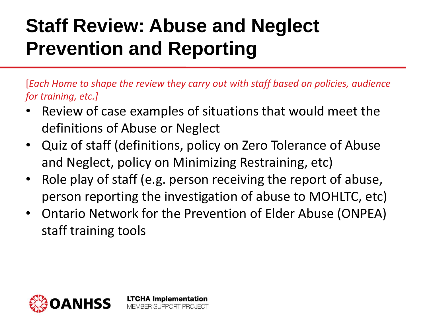#### **Staff Review: Abuse and Neglect Prevention and Reporting**

[*Each Home to shape the review they carry out with staff based on policies, audience for training, etc.]*

- Review of case examples of situations that would meet the definitions of Abuse or Neglect
- Quiz of staff (definitions, policy on Zero Tolerance of Abuse and Neglect, policy on Minimizing Restraining, etc)
- Role play of staff (e.g. person receiving the report of abuse, person reporting the investigation of abuse to MOHLTC, etc)
- Ontario Network for the Prevention of Elder Abuse (ONPEA) staff training tools

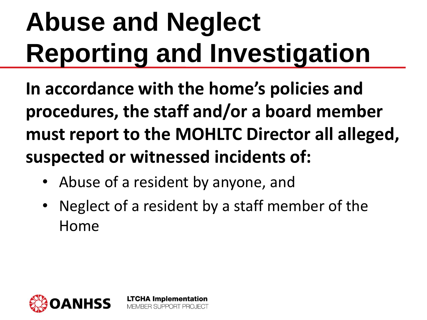# **Abuse and Neglect Reporting and Investigation**

**In accordance with the home's policies and procedures, the staff and/or a board member must report to the MOHLTC Director all alleged, suspected or witnessed incidents of:**

Abuse of a resident by anyone, and

**LTCHA Implementation** BER SLIPPORT PROJECT

• Neglect of a resident by a staff member of the Home

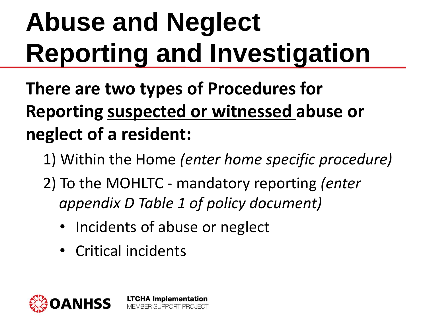# **Abuse and Neglect Reporting and Investigation**

**There are two types of Procedures for Reporting suspected or witnessed abuse or neglect of a resident:**

- 1) Within the Home *(enter home specific procedure)*
- 2) To the MOHLTC mandatory reporting *(enter appendix D Table 1 of policy document)*
	- Incidents of abuse or neglect

**LTCHA Implementation** MEMBER SUPPORT PROJECT

• Critical incidents

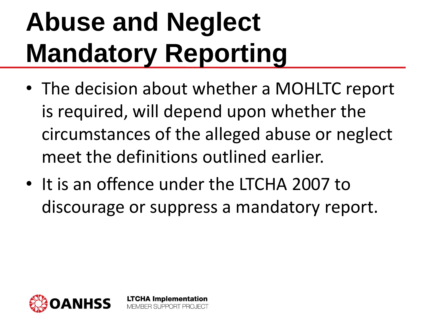# **Abuse and Neglect Mandatory Reporting**

- The decision about whether a MOHLTC report is required, will depend upon whether the circumstances of the alleged abuse or neglect meet the definitions outlined earlier.
- It is an offence under the LTCHA 2007 to discourage or suppress a mandatory report.

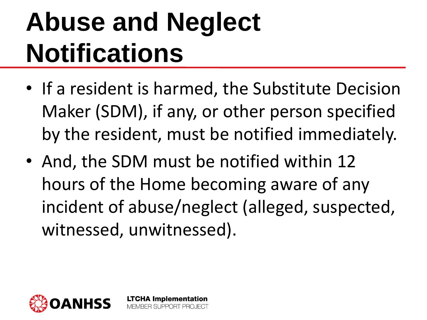## **Abuse and Neglect Notifications**

- If a resident is harmed, the Substitute Decision Maker (SDM), if any, or other person specified by the resident, must be notified immediately.
- And, the SDM must be notified within 12 hours of the Home becoming aware of any incident of abuse/neglect (alleged, suspected, witnessed, unwitnessed).

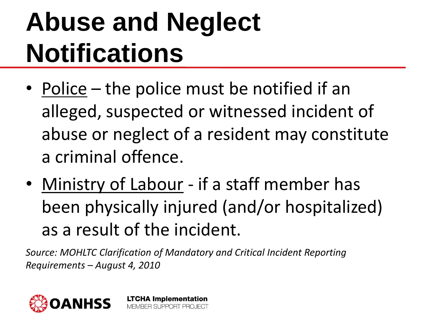## **Abuse and Neglect Notifications**

- Police the police must be notified if an alleged, suspected or witnessed incident of abuse or neglect of a resident may constitute a criminal offence.
- Ministry of Labour if a staff member has been physically injured (and/or hospitalized) as a result of the incident.

*Source: MOHLTC Clarification of Mandatory and Critical Incident Reporting Requirements – August 4, 2010*

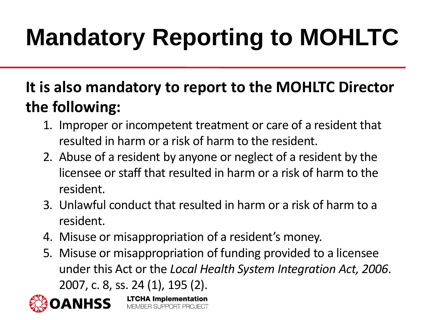### **Mandatory Reporting to MOHLTC**

#### **It is also mandatory to report to the MOHLTC Director the following:**

- 1. Improper or incompetent treatment or care of a resident that resulted in harm or a risk of harm to the resident.
- 2. Abuse of a resident by anyone or neglect of a resident by the licensee or staff that resulted in harm or a risk of harm to the resident.
- 3. Unlawful conduct that resulted in harm or a risk of harm to a resident.
- 4. Misuse or misappropriation of a resident's money.

**LTCHA Implementation** 

MEMBER SLIPPORT PROJECT

5. Misuse or misappropriation of funding provided to a licensee under this Act or the *Local Health System Integration Act, 2006*. 2007, c. 8, ss. 24 (1), 195 (2).

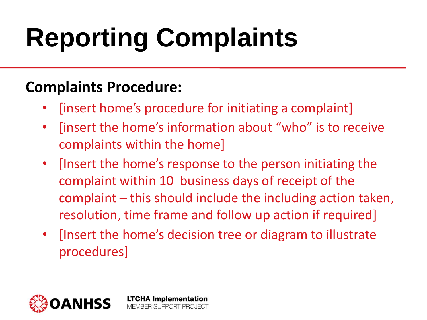# **Reporting Complaints**

#### **Complaints Procedure:**

- [insert home's procedure for initiating a complaint]
- [insert the home's information about "who" is to receive complaints within the home]
- [Insert the home's response to the person initiating the complaint within 10 business days of receipt of the complaint – this should include the including action taken, resolution, time frame and follow up action if required]
- [Insert the home's decision tree or diagram to illustrate procedures]

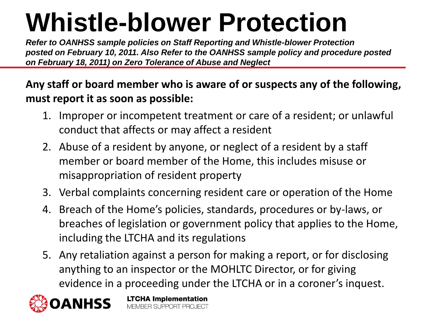### **Whistle-blower Protection**

*Refer to OANHSS sample policies on Staff Reporting and Whistle-blower Protection posted on February 10, 2011. Also Refer to the OANHSS sample policy and procedure posted on February 18, 2011) on Zero Tolerance of Abuse and Neglect* 

**Any staff or board member who is aware of or suspects any of the following, must report it as soon as possible:**

- 1. Improper or incompetent treatment or care of a resident; or unlawful conduct that affects or may affect a resident
- 2. Abuse of a resident by anyone, or neglect of a resident by a staff member or board member of the Home, this includes misuse or misappropriation of resident property
- 3. Verbal complaints concerning resident care or operation of the Home
- 4. Breach of the Home's policies, standards, procedures or by-laws, or breaches of legislation or government policy that applies to the Home, including the LTCHA and its regulations
- 5. Any retaliation against a person for making a report, or for disclosing anything to an inspector or the MOHLTC Director, or for giving evidence in a proceeding under the LTCHA or in a coroner's inquest.

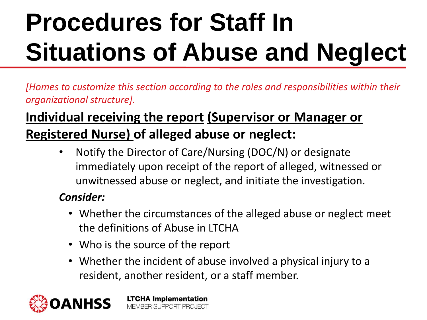*[Homes to customize this section according to the roles and responsibilities within their organizational structure].*

#### **Individual receiving the report (Supervisor or Manager or Registered Nurse) of alleged abuse or neglect:**

• Notify the Director of Care/Nursing (DOC/N) or designate immediately upon receipt of the report of alleged, witnessed or unwitnessed abuse or neglect, and initiate the investigation.

#### *Consider:*

- Whether the circumstances of the alleged abuse or neglect meet the definitions of Abuse in LTCHA
- Who is the source of the report
- Whether the incident of abuse involved a physical injury to a resident, another resident, or a staff member.

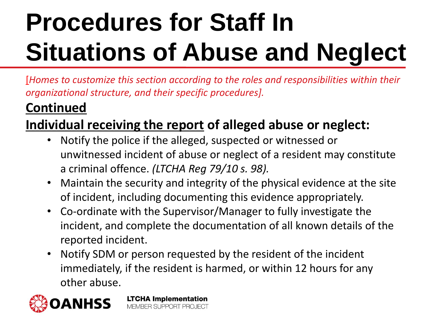[*Homes to customize this section according to the roles and responsibilities within their organizational structure, and their specific procedures].*

#### **Continued**

#### **Individual receiving the report of alleged abuse or neglect:**

- Notify the police if the alleged, suspected or witnessed or unwitnessed incident of abuse or neglect of a resident may constitute a criminal offence. *(LTCHA Reg 79/10 s. 98).*
- Maintain the security and integrity of the physical evidence at the site of incident, including documenting this evidence appropriately.
- Co-ordinate with the Supervisor/Manager to fully investigate the incident, and complete the documentation of all known details of the reported incident.
- Notify SDM or person requested by the resident of the incident immediately, if the resident is harmed, or within 12 hours for any other abuse.

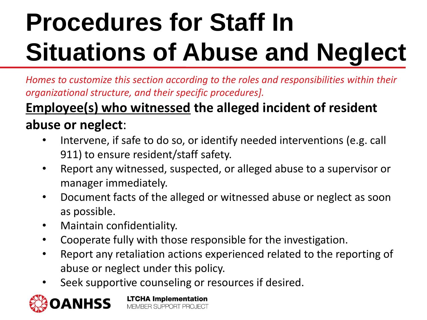*Homes to customize this section according to the roles and responsibilities within their organizational structure, and their specific procedures].*

#### **Employee(s) who witnessed the alleged incident of resident abuse or neglect**:

- Intervene, if safe to do so, or identify needed interventions (e.g. call 911) to ensure resident/staff safety.
- Report any witnessed, suspected, or alleged abuse to a supervisor or manager immediately.
- Document facts of the alleged or witnessed abuse or neglect as soon as possible.
- Maintain confidentiality.
- Cooperate fully with those responsible for the investigation.
- Report any retaliation actions experienced related to the reporting of abuse or neglect under this policy.
- Seek supportive counseling or resources if desired.

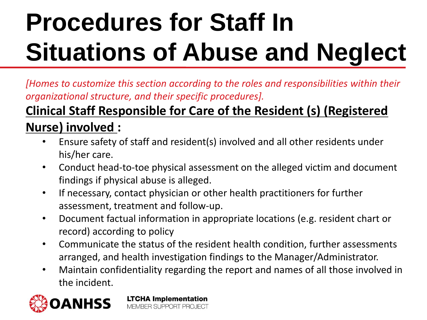*[Homes to customize this section according to the roles and responsibilities within their organizational structure, and their specific procedures].*

#### **Clinical Staff Responsible for Care of the Resident (s) (Registered Nurse) involved :**

- Ensure safety of staff and resident(s) involved and all other residents under his/her care.
- Conduct head-to-toe physical assessment on the alleged victim and document findings if physical abuse is alleged.
- If necessary, contact physician or other health practitioners for further assessment, treatment and follow-up.
- Document factual information in appropriate locations (e.g. resident chart or record) according to policy
- Communicate the status of the resident health condition, further assessments arranged, and health investigation findings to the Manager/Administrator.
- Maintain confidentiality regarding the report and names of all those involved in the incident.

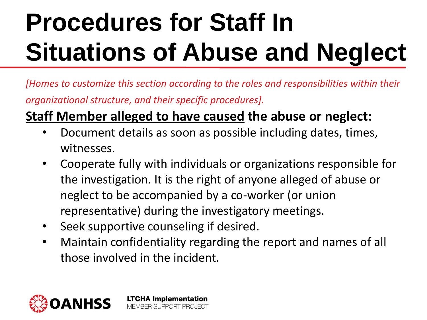*[Homes to customize this section according to the roles and responsibilities within their organizational structure, and their specific procedures].*

#### **Staff Member alleged to have caused the abuse or neglect:**

- Document details as soon as possible including dates, times, witnesses.
- Cooperate fully with individuals or organizations responsible for the investigation. It is the right of anyone alleged of abuse or neglect to be accompanied by a co-worker (or union representative) during the investigatory meetings.
- Seek supportive counseling if desired.
- Maintain confidentiality regarding the report and names of all those involved in the incident.

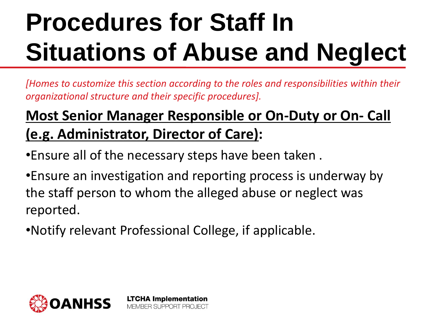*[Homes to customize this section according to the roles and responsibilities within their organizational structure and their specific procedures].*

#### **Most Senior Manager Responsible or On-Duty or On- Call (e.g. Administrator, Director of Care):**

•Ensure all of the necessary steps have been taken .

•Ensure an investigation and reporting process is underway by the staff person to whom the alleged abuse or neglect was reported.

•Notify relevant Professional College, if applicable.

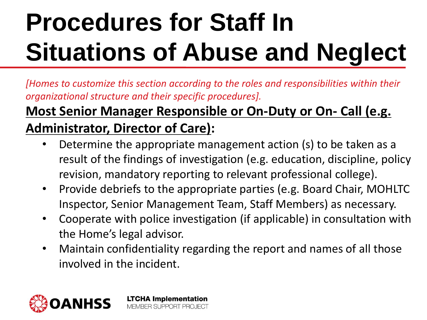*[Homes to customize this section according to the roles and responsibilities within their organizational structure and their specific procedures].*

#### **Most Senior Manager Responsible or On-Duty or On- Call (e.g. Administrator, Director of Care):**

- Determine the appropriate management action (s) to be taken as a result of the findings of investigation (e.g. education, discipline, policy revision, mandatory reporting to relevant professional college).
- Provide debriefs to the appropriate parties (e.g. Board Chair, MOHLTC Inspector, Senior Management Team, Staff Members) as necessary.
- Cooperate with police investigation (if applicable) in consultation with the Home's legal advisor.
- Maintain confidentiality regarding the report and names of all those involved in the incident.

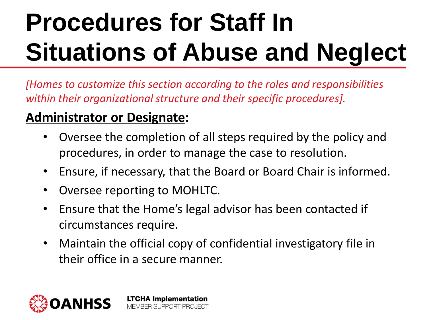*[Homes to customize this section according to the roles and responsibilities within their organizational structure and their specific procedures].*

#### **Administrator or Designate:**

- Oversee the completion of all steps required by the policy and procedures, in order to manage the case to resolution.
- Ensure, if necessary, that the Board or Board Chair is informed.
- Oversee reporting to MOHLTC.
- Ensure that the Home's legal advisor has been contacted if circumstances require.
- Maintain the official copy of confidential investigatory file in their office in a secure manner.

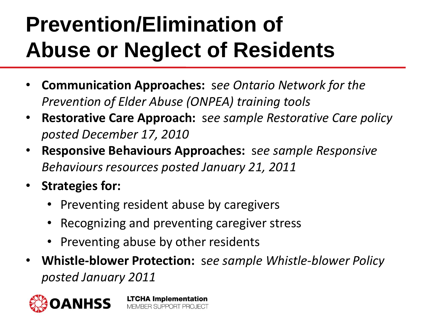#### **Prevention/Elimination of Abuse or Neglect of Residents**

- **Communication Approaches:** s*ee Ontario Network for the Prevention of Elder Abuse (ONPEA) training tools*
- **Restorative Care Approach:** s*ee sample Restorative Care policy posted December 17, 2010*
- **Responsive Behaviours Approaches:** s*ee sample Responsive Behaviours resources posted January 21, 2011*
- **Strategies for:**
	- Preventing resident abuse by caregivers
	- Recognizing and preventing caregiver stress
	- Preventing abuse by other residents
- **Whistle-blower Protection:** s*ee sample Whistle-blower Policy posted January 2011*

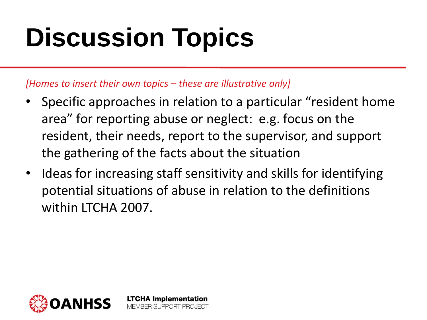# **Discussion Topics**

*[Homes to insert their own topics – these are illustrative only]*

- Specific approaches in relation to a particular "resident home area" for reporting abuse or neglect: e.g. focus on the resident, their needs, report to the supervisor, and support the gathering of the facts about the situation
- Ideas for increasing staff sensitivity and skills for identifying potential situations of abuse in relation to the definitions within ITCHA 2007.